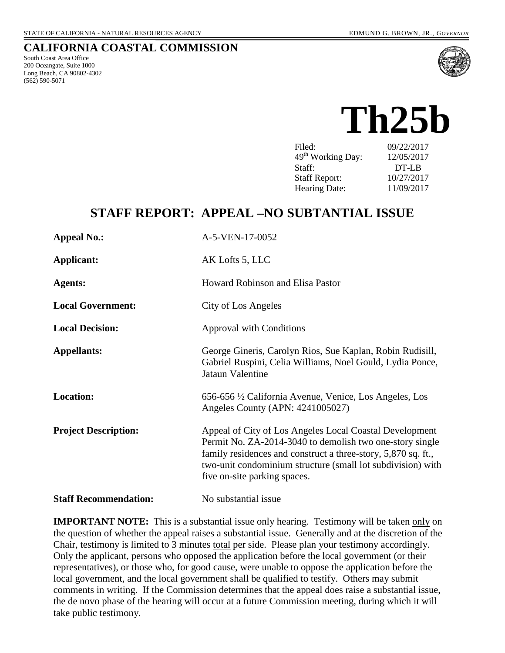#### **CALIFORNIA COASTAL COMMISSION**

South Coast Area Office 200 Oceangate, Suite 1000 Long Beach, CA 90802-4302 (562) 590-5071



# **Th25b**

| Filed:                        | 09/22/2017 |
|-------------------------------|------------|
| 49 <sup>th</sup> Working Day: | 12/05/2017 |
| Staff:                        | DT-LB      |
| <b>Staff Report:</b>          | 10/27/2017 |
| <b>Hearing Date:</b>          | 11/09/2017 |

## **STAFF REPORT: APPEAL –NO SUBTANTIAL ISSUE**

| <b>Appeal No.:</b>           | A-5-VEN-17-0052                                                                                                                                                                                                                                                                     |  |  |
|------------------------------|-------------------------------------------------------------------------------------------------------------------------------------------------------------------------------------------------------------------------------------------------------------------------------------|--|--|
| <b>Applicant:</b>            | AK Lofts 5, LLC                                                                                                                                                                                                                                                                     |  |  |
| <b>Agents:</b>               | Howard Robinson and Elisa Pastor                                                                                                                                                                                                                                                    |  |  |
| <b>Local Government:</b>     | City of Los Angeles                                                                                                                                                                                                                                                                 |  |  |
| <b>Local Decision:</b>       | <b>Approval with Conditions</b>                                                                                                                                                                                                                                                     |  |  |
| <b>Appellants:</b>           | George Gineris, Carolyn Rios, Sue Kaplan, Robin Rudisill,<br>Gabriel Ruspini, Celia Williams, Noel Gould, Lydia Ponce,<br>Jataun Valentine                                                                                                                                          |  |  |
| <b>Location:</b>             | 656-656 ½ California Avenue, Venice, Los Angeles, Los<br>Angeles County (APN: 4241005027)                                                                                                                                                                                           |  |  |
| <b>Project Description:</b>  | Appeal of City of Los Angeles Local Coastal Development<br>Permit No. ZA-2014-3040 to demolish two one-story single<br>family residences and construct a three-story, 5,870 sq. ft.,<br>two-unit condominium structure (small lot subdivision) with<br>five on-site parking spaces. |  |  |
| <b>Staff Recommendation:</b> | No substantial issue                                                                                                                                                                                                                                                                |  |  |

**IMPORTANT NOTE:** This is a substantial issue only hearing. Testimony will be taken only on the question of whether the appeal raises a substantial issue. Generally and at the discretion of the Chair, testimony is limited to 3 minutes total per side. Please plan your testimony accordingly. Only the applicant, persons who opposed the application before the local government (or their representatives), or those who, for good cause, were unable to oppose the application before the local government, and the local government shall be qualified to testify. Others may submit comments in writing. If the Commission determines that the appeal does raise a substantial issue, the de novo phase of the hearing will occur at a future Commission meeting, during which it will take public testimony.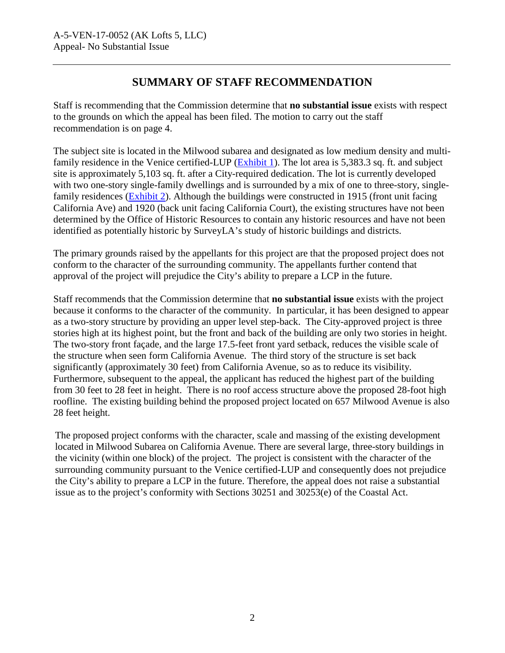## **SUMMARY OF STAFF RECOMMENDATION**

Staff is recommending that the Commission determine that **no substantial issue** exists with respect to the grounds on which the appeal has been filed. The motion to carry out the staff recommendation is on page 4.

The subject site is located in the Milwood subarea and designated as low medium density and multi-family residence in the Venice certified-LUP [\(Exhibit 1\)](https://documents.coastal.ca.gov/reports/2017/11/Th25b/Th25b-11-2017-exhibits.pdf). The lot area is 5,383.3 sq. ft. and subject site is approximately 5,103 sq. ft. after a City-required dedication. The lot is currently developed with two one-story single-family dwellings and is surrounded by a mix of one to three-story, singlefamily residences [\(Exhibit 2\)](https://documents.coastal.ca.gov/reports/2017/11/Th25b/Th25b-11-2017-exhibits.pdf). Although the buildings were constructed in 1915 (front unit facing California Ave) and 1920 (back unit facing California Court), the existing structures have not been determined by the Office of Historic Resources to contain any historic resources and have not been identified as potentially historic by SurveyLA's study of historic buildings and districts.

The primary grounds raised by the appellants for this project are that the proposed project does not conform to the character of the surrounding community. The appellants further contend that approval of the project will prejudice the City's ability to prepare a LCP in the future.

Staff recommends that the Commission determine that **no substantial issue** exists with the project because it conforms to the character of the community. In particular, it has been designed to appear as a two-story structure by providing an upper level step-back. The City-approved project is three stories high at its highest point, but the front and back of the building are only two stories in height. The two-story front façade, and the large 17.5-feet front yard setback, reduces the visible scale of the structure when seen form California Avenue. The third story of the structure is set back significantly (approximately 30 feet) from California Avenue, so as to reduce its visibility. Furthermore, subsequent to the appeal, the applicant has reduced the highest part of the building from 30 feet to 28 feet in height. There is no roof access structure above the proposed 28-foot high roofline. The existing building behind the proposed project located on 657 Milwood Avenue is also 28 feet height.

The proposed project conforms with the character, scale and massing of the existing development located in Milwood Subarea on California Avenue. There are several large, three-story buildings in the vicinity (within one block) of the project. The project is consistent with the character of the surrounding community pursuant to the Venice certified-LUP and consequently does not prejudice the City's ability to prepare a LCP in the future. Therefore, the appeal does not raise a substantial issue as to the project's conformity with Sections 30251 and 30253(e) of the Coastal Act.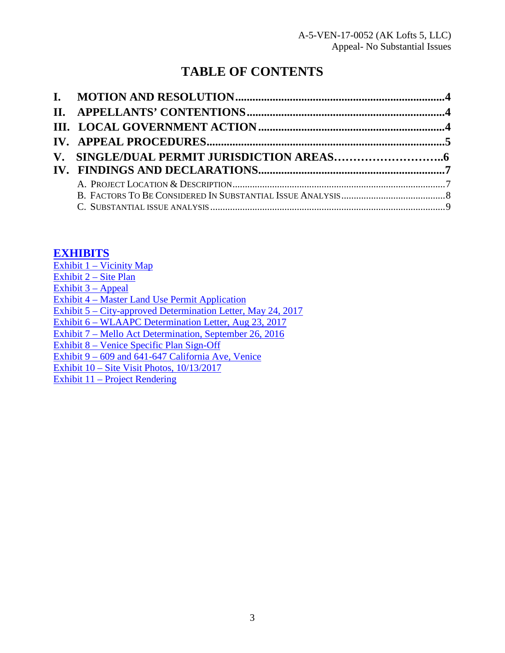## **TABLE OF CONTENTS**

## **[EXHIBITS](https://documents.coastal.ca.gov/reports/2017/11/Th25b/Th25b-11-2017-exhibits.pdf)**

Exhibit  $1 - \text{Vicinity Map}$ [Exhibit 2 – Site Plan](https://documents.coastal.ca.gov/reports/2017/11/Th25b/Th25b-11-2017-exhibits.pdf) Exhibit  $3 -$ Appeal [Exhibit 4 – Master Land Use Permit Application](https://documents.coastal.ca.gov/reports/2017/11/Th25b/Th25b-11-2017-exhibits.pdf) [Exhibit 5 – City-approved Determination Letter, May 24, 2017](https://documents.coastal.ca.gov/reports/2017/11/Th25b/Th25b-11-2017-exhibits.pdf)  [Exhibit 6 – WLAAPC Determination Letter, Aug 23, 2017](https://documents.coastal.ca.gov/reports/2017/11/Th25b/Th25b-11-2017-exhibits.pdf)  [Exhibit 7 – Mello Act Determination, September 26, 2016](https://documents.coastal.ca.gov/reports/2017/11/Th25b/Th25b-11-2017-exhibits.pdf)  [Exhibit 8 – Venice Specific Plan Sign-Off](https://documents.coastal.ca.gov/reports/2017/11/Th25b/Th25b-11-2017-exhibits.pdf)  [Exhibit 9 – 609 and 641-647 California Ave, Venice](https://documents.coastal.ca.gov/reports/2017/11/Th25b/Th25b-11-2017-exhibits.pdf)  Exhibit 10 – Site [Visit Photos, 10/13/2017](https://documents.coastal.ca.gov/reports/2017/11/Th25b/Th25b-11-2017-exhibits.pdf) [Exhibit 11 – Project Rendering](https://documents.coastal.ca.gov/reports/2017/11/Th25b/Th25b-11-2017-exhibits.pdf)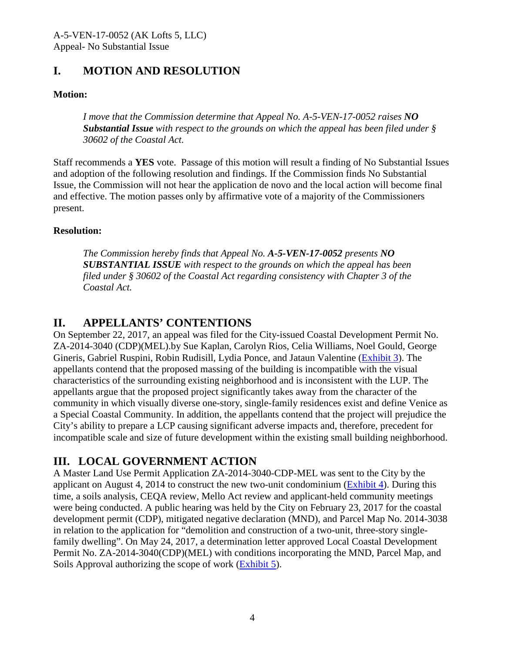## <span id="page-3-0"></span>**I. MOTION AND RESOLUTION**

#### **Motion:**

*I move that the Commission determine that Appeal No. A-5-VEN-17-0052 raises NO Substantial Issue with respect to the grounds on which the appeal has been filed under § 30602 of the Coastal Act.* 

Staff recommends a **YES** vote. Passage of this motion will result a finding of No Substantial Issues and adoption of the following resolution and findings. If the Commission finds No Substantial Issue, the Commission will not hear the application de novo and the local action will become final and effective. The motion passes only by affirmative vote of a majority of the Commissioners present.

#### **Resolution:**

*The Commission hereby finds that Appeal No. A-5-VEN-17-0052 presents NO SUBSTANTIAL ISSUE with respect to the grounds on which the appeal has been filed under § 30602 of the Coastal Act regarding consistency with Chapter 3 of the Coastal Act.* 

## <span id="page-3-1"></span>**II. APPELLANTS' CONTENTIONS**

On September 22, 2017, an appeal was filed for the City-issued Coastal Development Permit No. ZA-2014-3040 (CDP)(MEL).by Sue Kaplan, Carolyn Rios, Celia Williams, Noel Gould, George Gineris, Gabriel Ruspini, Robin Rudisill, Lydia Ponce, and Jataun Valentine [\(Exhibit 3\)](https://documents.coastal.ca.gov/reports/2017/11/Th25b/Th25b-11-2017-exhibits.pdf). The appellants contend that the proposed massing of the building is incompatible with the visual characteristics of the surrounding existing neighborhood and is inconsistent with the LUP. The appellants argue that the proposed project significantly takes away from the character of the community in which visually diverse one-story, single-family residences exist and define Venice as a Special Coastal Community. In addition, the appellants contend that the project will prejudice the City's ability to prepare a LCP causing significant adverse impacts and, therefore, precedent for incompatible scale and size of future development within the existing small building neighborhood.

## <span id="page-3-2"></span>**III. LOCAL GOVERNMENT ACTION**

A Master Land Use Permit Application ZA-2014-3040-CDP-MEL was sent to the City by the applicant on August 4, 2014 to construct the new two-unit condominium  $(Exhibit 4)$ . During this time, a soils analysis, CEQA review, Mello Act review and applicant-held community meetings were being conducted. A public hearing was held by the City on February 23, 2017 for the coastal development permit (CDP), mitigated negative declaration (MND), and Parcel Map No. 2014-3038 in relation to the application for "demolition and construction of a two-unit, three-story singlefamily dwelling". On May 24, 2017, a determination letter approved Local Coastal Development Permit No. ZA-2014-3040(CDP)(MEL) with conditions incorporating the MND, Parcel Map, and Soils Approval authorizing the scope of work [\(Exhibit 5\)](https://documents.coastal.ca.gov/reports/2017/11/Th25b/Th25b-11-2017-exhibits.pdf).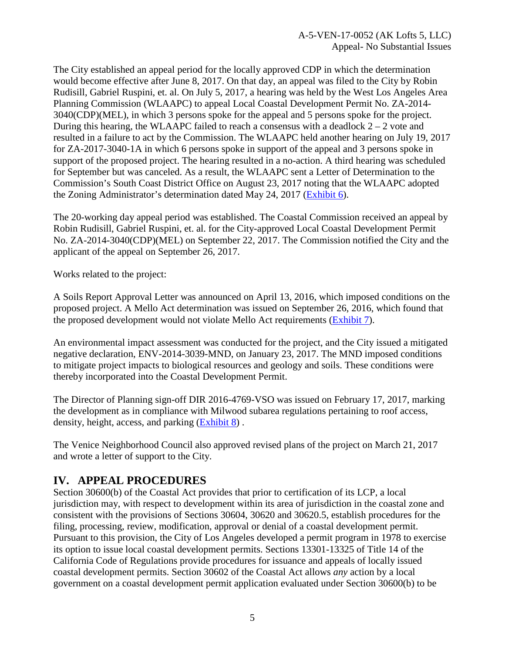The City established an appeal period for the locally approved CDP in which the determination would become effective after June 8, 2017. On that day, an appeal was filed to the City by Robin Rudisill, Gabriel Ruspini, et. al. On July 5, 2017, a hearing was held by the West Los Angeles Area Planning Commission (WLAAPC) to appeal Local Coastal Development Permit No. ZA-2014- 3040(CDP)(MEL), in which 3 persons spoke for the appeal and 5 persons spoke for the project. During this hearing, the WLAAPC failed to reach a consensus with a deadlock  $2 - 2$  vote and resulted in a failure to act by the Commission. The WLAAPC held another hearing on July 19, 2017 for ZA-2017-3040-1A in which 6 persons spoke in support of the appeal and 3 persons spoke in support of the proposed project. The hearing resulted in a no-action. A third hearing was scheduled for September but was canceled. As a result, the WLAAPC sent a Letter of Determination to the Commission's South Coast District Office on August 23, 2017 noting that the WLAAPC adopted the Zoning Administrator's determination dated May 24, 2017 [\(Exhibit 6\)](https://documents.coastal.ca.gov/reports/2017/11/Th25b/Th25b-11-2017-exhibits.pdf).

The 20-working day appeal period was established. The Coastal Commission received an appeal by Robin Rudisill, Gabriel Ruspini, et. al. for the City-approved Local Coastal Development Permit No. ZA-2014-3040(CDP)(MEL) on September 22, 2017. The Commission notified the City and the applicant of the appeal on September 26, 2017.

Works related to the project:

A Soils Report Approval Letter was announced on April 13, 2016, which imposed conditions on the proposed project. A Mello Act determination was issued on September 26, 2016, which found that the proposed development would not violate Mello Act requirements [\(Exhibit 7\)](https://documents.coastal.ca.gov/reports/2017/11/Th25b/Th25b-11-2017-exhibits.pdf).

An environmental impact assessment was conducted for the project, and the City issued a mitigated negative declaration, ENV-2014-3039-MND, on January 23, 2017. The MND imposed conditions to mitigate project impacts to biological resources and geology and soils. These conditions were thereby incorporated into the Coastal Development Permit.

The Director of Planning sign-off DIR 2016-4769-VSO was issued on February 17, 2017, marking the development as in compliance with Milwood subarea regulations pertaining to roof access, density, height, access, and parking [\(Exhibit 8\)](https://documents.coastal.ca.gov/reports/2017/11/Th25b/Th25b-11-2017-exhibits.pdf) .

The Venice Neighborhood Council also approved revised plans of the project on March 21, 2017 and wrote a letter of support to the City.

#### <span id="page-4-0"></span>**IV. APPEAL PROCEDURES**

Section 30600(b) of the Coastal Act provides that prior to certification of its LCP, a local jurisdiction may, with respect to development within its area of jurisdiction in the coastal zone and consistent with the provisions of Sections 30604, 30620 and 30620.5, establish procedures for the filing, processing, review, modification, approval or denial of a coastal development permit. Pursuant to this provision, the City of Los Angeles developed a permit program in 1978 to exercise its option to issue local coastal development permits. Sections 13301-13325 of Title 14 of the California Code of Regulations provide procedures for issuance and appeals of locally issued coastal development permits. Section 30602 of the Coastal Act allows *any* action by a local government on a coastal development permit application evaluated under Section 30600(b) to be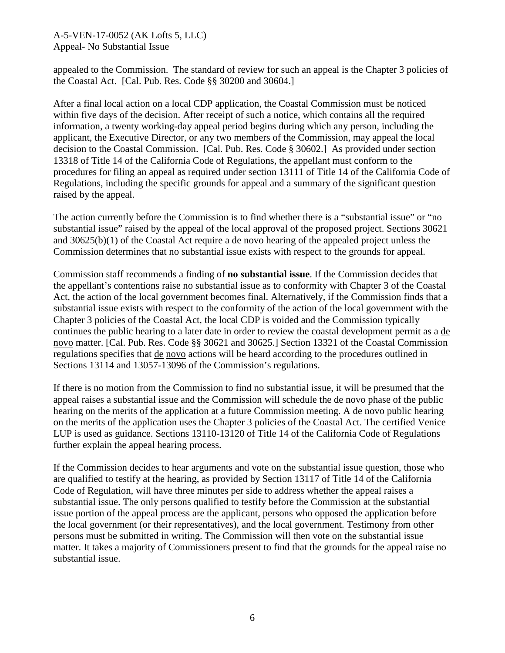#### A-5-VEN-17-0052 (AK Lofts 5, LLC) Appeal- No Substantial Issue

appealed to the Commission. The standard of review for such an appeal is the Chapter 3 policies of the Coastal Act. [Cal. Pub. Res. Code §§ 30200 and 30604.]

After a final local action on a local CDP application, the Coastal Commission must be noticed within five days of the decision. After receipt of such a notice, which contains all the required information, a twenty working-day appeal period begins during which any person, including the applicant, the Executive Director, or any two members of the Commission, may appeal the local decision to the Coastal Commission. [Cal. Pub. Res. Code § 30602.] As provided under section 13318 of Title 14 of the California Code of Regulations, the appellant must conform to the procedures for filing an appeal as required under section 13111 of Title 14 of the California Code of Regulations, including the specific grounds for appeal and a summary of the significant question raised by the appeal.

The action currently before the Commission is to find whether there is a "substantial issue" or "no substantial issue" raised by the appeal of the local approval of the proposed project. Sections 30621 and 30625(b)(1) of the Coastal Act require a de novo hearing of the appealed project unless the Commission determines that no substantial issue exists with respect to the grounds for appeal.

Commission staff recommends a finding of **no substantial issue**. If the Commission decides that the appellant's contentions raise no substantial issue as to conformity with Chapter 3 of the Coastal Act, the action of the local government becomes final. Alternatively, if the Commission finds that a substantial issue exists with respect to the conformity of the action of the local government with the Chapter 3 policies of the Coastal Act, the local CDP is voided and the Commission typically continues the public hearing to a later date in order to review the coastal development permit as a de novo matter. [Cal. Pub. Res. Code §§ 30621 and 30625.] Section 13321 of the Coastal Commission regulations specifies that de novo actions will be heard according to the procedures outlined in Sections 13114 and 13057-13096 of the Commission's regulations.

If there is no motion from the Commission to find no substantial issue, it will be presumed that the appeal raises a substantial issue and the Commission will schedule the de novo phase of the public hearing on the merits of the application at a future Commission meeting. A de novo public hearing on the merits of the application uses the Chapter 3 policies of the Coastal Act. The certified Venice LUP is used as guidance. Sections 13110-13120 of Title 14 of the California Code of Regulations further explain the appeal hearing process.

If the Commission decides to hear arguments and vote on the substantial issue question, those who are qualified to testify at the hearing, as provided by Section 13117 of Title 14 of the California Code of Regulation, will have three minutes per side to address whether the appeal raises a substantial issue. The only persons qualified to testify before the Commission at the substantial issue portion of the appeal process are the applicant, persons who opposed the application before the local government (or their representatives), and the local government. Testimony from other persons must be submitted in writing. The Commission will then vote on the substantial issue matter. It takes a majority of Commissioners present to find that the grounds for the appeal raise no substantial issue.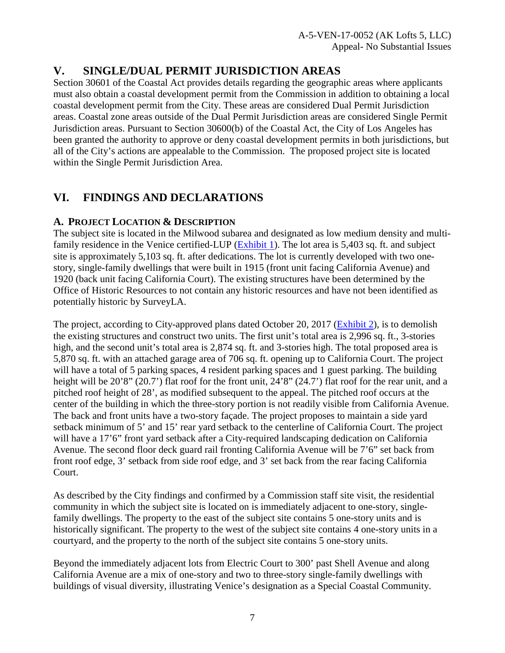## <span id="page-6-0"></span>**V. SINGLE/DUAL PERMIT JURISDICTION AREAS**

Section 30601 of the Coastal Act provides details regarding the geographic areas where applicants must also obtain a coastal development permit from the Commission in addition to obtaining a local coastal development permit from the City. These areas are considered Dual Permit Jurisdiction areas. Coastal zone areas outside of the Dual Permit Jurisdiction areas are considered Single Permit Jurisdiction areas. Pursuant to Section 30600(b) of the Coastal Act, the City of Los Angeles has been granted the authority to approve or deny coastal development permits in both jurisdictions, but all of the City's actions are appealable to the Commission. The proposed project site is located within the Single Permit Jurisdiction Area.

## <span id="page-6-1"></span>**VI. FINDINGS AND DECLARATIONS**

#### <span id="page-6-2"></span>**A. PROJECT LOCATION & DESCRIPTION**

The subject site is located in the Milwood subarea and designated as low medium density and multi-family residence in the Venice certified-LUP [\(Exhibit 1\)](https://documents.coastal.ca.gov/reports/2017/11/Th25b/Th25b-11-2017-exhibits.pdf). The lot area is 5,403 sq. ft. and subject site is approximately 5,103 sq. ft. after dedications. The lot is currently developed with two onestory, single-family dwellings that were built in 1915 (front unit facing California Avenue) and 1920 (back unit facing California Court). The existing structures have been determined by the Office of Historic Resources to not contain any historic resources and have not been identified as potentially historic by SurveyLA.

The project, according to City-approved plans dated October 20, 2017 [\(Exhibit 2\)](https://documents.coastal.ca.gov/reports/2017/11/Th25b/Th25b-11-2017-exhibits.pdf), is to demolish the existing structures and construct two units. The first unit's total area is 2,996 sq. ft., 3-stories high, and the second unit's total area is 2,874 sq. ft. and 3-stories high. The total proposed area is 5,870 sq. ft. with an attached garage area of 706 sq. ft. opening up to California Court. The project will have a total of 5 parking spaces, 4 resident parking spaces and 1 guest parking. The building height will be 20'8" (20.7') flat roof for the front unit, 24'8" (24.7') flat roof for the rear unit, and a pitched roof height of 28', as modified subsequent to the appeal. The pitched roof occurs at the center of the building in which the three-story portion is not readily visible from California Avenue. The back and front units have a two-story façade. The project proposes to maintain a side yard setback minimum of 5' and 15' rear yard setback to the centerline of California Court. The project will have a 17'6" front yard setback after a City-required landscaping dedication on California Avenue. The second floor deck guard rail fronting California Avenue will be 7'6" set back from front roof edge, 3' setback from side roof edge, and 3' set back from the rear facing California Court.

As described by the City findings and confirmed by a Commission staff site visit, the residential community in which the subject site is located on is immediately adjacent to one-story, singlefamily dwellings. The property to the east of the subject site contains 5 one-story units and is historically significant. The property to the west of the subject site contains 4 one-story units in a courtyard, and the property to the north of the subject site contains 5 one-story units.

Beyond the immediately adjacent lots from Electric Court to 300' past Shell Avenue and along California Avenue are a mix of one-story and two to three-story single-family dwellings with buildings of visual diversity, illustrating Venice's designation as a Special Coastal Community.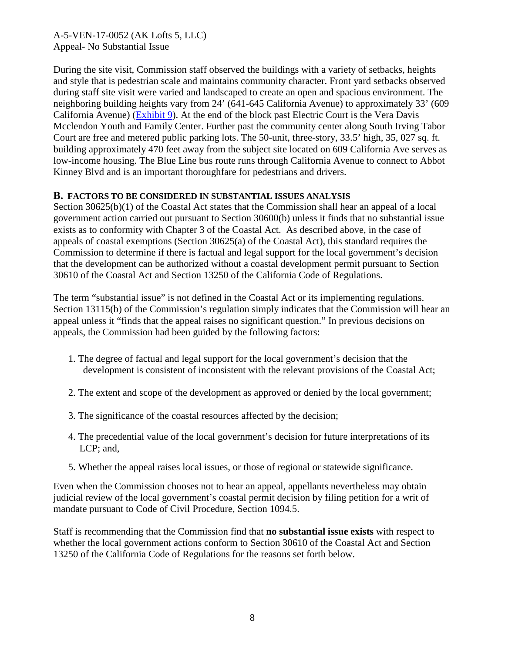A-5-VEN-17-0052 (AK Lofts 5, LLC) Appeal- No Substantial Issue

During the site visit, Commission staff observed the buildings with a variety of setbacks, heights and style that is pedestrian scale and maintains community character. Front yard setbacks observed during staff site visit were varied and landscaped to create an open and spacious environment. The neighboring building heights vary from 24' (641-645 California Avenue) to approximately 33' (609 California Avenue) [\(Exhibit 9\)](https://documents.coastal.ca.gov/reports/2017/11/Th25b/Th25b-11-2017-exhibits.pdf). At the end of the block past Electric Court is the Vera Davis Mcclendon Youth and Family Center. Further past the community center along South Irving Tabor Court are free and metered public parking lots. The 50-unit, three-story, 33.5' high, 35, 027 sq. ft. building approximately 470 feet away from the subject site located on 609 California Ave serves as low-income housing. The Blue Line bus route runs through California Avenue to connect to Abbot Kinney Blvd and is an important thoroughfare for pedestrians and drivers.

#### <span id="page-7-0"></span>**B. FACTORS TO BE CONSIDERED IN SUBSTANTIAL ISSUES ANALYSIS**

Section 30625(b)(1) of the Coastal Act states that the Commission shall hear an appeal of a local government action carried out pursuant to Section 30600(b) unless it finds that no substantial issue exists as to conformity with Chapter 3 of the Coastal Act. As described above, in the case of appeals of coastal exemptions (Section 30625(a) of the Coastal Act), this standard requires the Commission to determine if there is factual and legal support for the local government's decision that the development can be authorized without a coastal development permit pursuant to Section 30610 of the Coastal Act and Section 13250 of the California Code of Regulations.

The term "substantial issue" is not defined in the Coastal Act or its implementing regulations. Section 13115(b) of the Commission's regulation simply indicates that the Commission will hear an appeal unless it "finds that the appeal raises no significant question." In previous decisions on appeals, the Commission had been guided by the following factors:

- 1. The degree of factual and legal support for the local government's decision that the development is consistent of inconsistent with the relevant provisions of the Coastal Act;
- 2. The extent and scope of the development as approved or denied by the local government;
- 3. The significance of the coastal resources affected by the decision;
- 4. The precedential value of the local government's decision for future interpretations of its LCP; and,
- 5. Whether the appeal raises local issues, or those of regional or statewide significance.

Even when the Commission chooses not to hear an appeal, appellants nevertheless may obtain judicial review of the local government's coastal permit decision by filing petition for a writ of mandate pursuant to Code of Civil Procedure, Section 1094.5.

Staff is recommending that the Commission find that **no substantial issue exists** with respect to whether the local government actions conform to Section 30610 of the Coastal Act and Section 13250 of the California Code of Regulations for the reasons set forth below.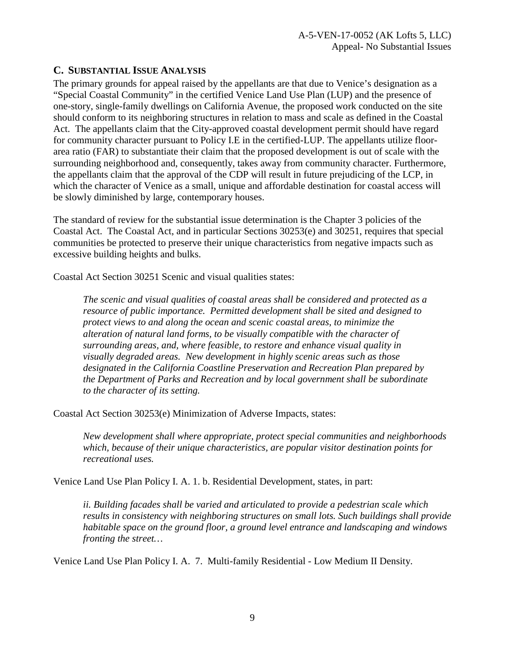#### <span id="page-8-0"></span>**C. SUBSTANTIAL ISSUE ANALYSIS**

The primary grounds for appeal raised by the appellants are that due to Venice's designation as a "Special Coastal Community" in the certified Venice Land Use Plan (LUP) and the presence of one-story, single-family dwellings on California Avenue, the proposed work conducted on the site should conform to its neighboring structures in relation to mass and scale as defined in the Coastal Act. The appellants claim that the City-approved coastal development permit should have regard for community character pursuant to Policy I.E in the certified-LUP. The appellants utilize floorarea ratio (FAR) to substantiate their claim that the proposed development is out of scale with the surrounding neighborhood and, consequently, takes away from community character. Furthermore, the appellants claim that the approval of the CDP will result in future prejudicing of the LCP, in which the character of Venice as a small, unique and affordable destination for coastal access will be slowly diminished by large, contemporary houses.

The standard of review for the substantial issue determination is the Chapter 3 policies of the Coastal Act. The Coastal Act, and in particular Sections 30253(e) and 30251, requires that special communities be protected to preserve their unique characteristics from negative impacts such as excessive building heights and bulks.

Coastal Act Section 30251 Scenic and visual qualities states:

*The scenic and visual qualities of coastal areas shall be considered and protected as a resource of public importance. Permitted development shall be sited and designed to protect views to and along the ocean and scenic coastal areas, to minimize the alteration of natural land forms, to be visually compatible with the character of surrounding areas, and, where feasible, to restore and enhance visual quality in visually degraded areas. New development in highly scenic areas such as those designated in the California Coastline Preservation and Recreation Plan prepared by the Department of Parks and Recreation and by local government shall be subordinate to the character of its setting.* 

Coastal Act Section 30253(e) Minimization of Adverse Impacts, states:

*New development shall where appropriate, protect special communities and neighborhoods which, because of their unique characteristics, are popular visitor destination points for recreational uses.* 

Venice Land Use Plan Policy I. A. 1. b. Residential Development, states, in part:

*ii. Building facades shall be varied and articulated to provide a pedestrian scale which results in consistency with neighboring structures on small lots. Such buildings shall provide habitable space on the ground floor, a ground level entrance and landscaping and windows fronting the street…*

Venice Land Use Plan Policy I. A. 7. Multi-family Residential - Low Medium II Density.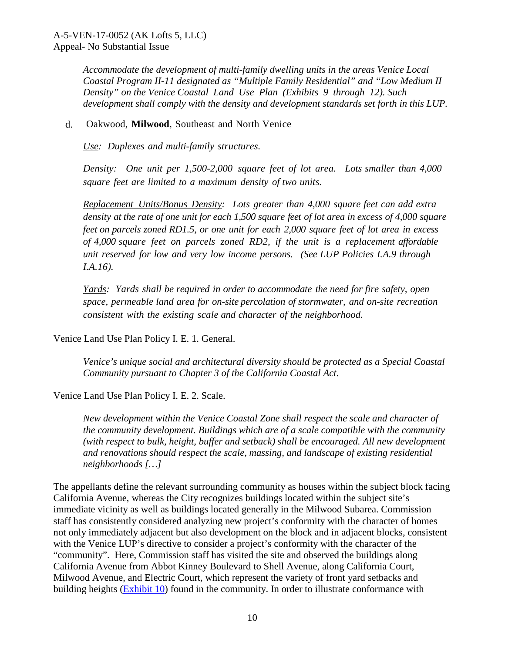*Accommodate the development of multi-family dwelling units in the areas Venice Local Coastal Program II-11 designated as "Multiple Family Residential" and "Low Medium II Density" on the Venice Coastal Land Use Plan (Exhibits 9 through 12). Such development shall comply with the density and development standards set forth in this LUP.* 

d. Oakwood, **Milwood**, Southeast and North Venice

*Use: Duplexes and multi-family structures.*

*Density: One unit per 1,500-2,000 square feet of lot area. Lots smaller than 4,000 square feet are limited to a maximum density of two units.*

*Replacement Units/Bonus Density: Lots greater than 4,000 square feet can add extra density at the rate of one unit for each 1,500 square feet of lot area in excess of 4,000 square feet on parcels zoned RD1.5, or one unit for each 2,000 square feet of lot area in excess of 4,000 square feet on parcels zoned RD2, if the unit is a replacement affordable unit reserved for low and very low income persons. (See LUP Policies I.A.9 through I.A.16).*

*Yards: Yards shall be required in order to accommodate the need for fire safety, open space, permeable land area for on-site percolation of stormwater, and on-site recreation consistent with the existing scale and character of the neighborhood.* 

Venice Land Use Plan Policy I. E. 1. General.

*Venice's unique social and architectural diversity should be protected as a Special Coastal Community pursuant to Chapter 3 of the California Coastal Act*.

Venice Land Use Plan Policy I. E. 2. Scale.

*New development within the Venice Coastal Zone shall respect the scale and character of the community development. Buildings which are of a scale compatible with the community (with respect to bulk, height, buffer and setback) shall be encouraged. All new development and renovations should respect the scale, massing, and landscape of existing residential neighborhoods […]* 

The appellants define the relevant surrounding community as houses within the subject block facing California Avenue, whereas the City recognizes buildings located within the subject site's immediate vicinity as well as buildings located generally in the Milwood Subarea. Commission staff has consistently considered analyzing new project's conformity with the character of homes not only immediately adjacent but also development on the block and in adjacent blocks, consistent with the Venice LUP's directive to consider a project's conformity with the character of the "community". Here, Commission staff has visited the site and observed the buildings along California Avenue from Abbot Kinney Boulevard to Shell Avenue, along California Court, Milwood Avenue, and Electric Court, which represent the variety of front yard setbacks and building heights (**Exhibit 10**) found in the community. In order to illustrate conformance with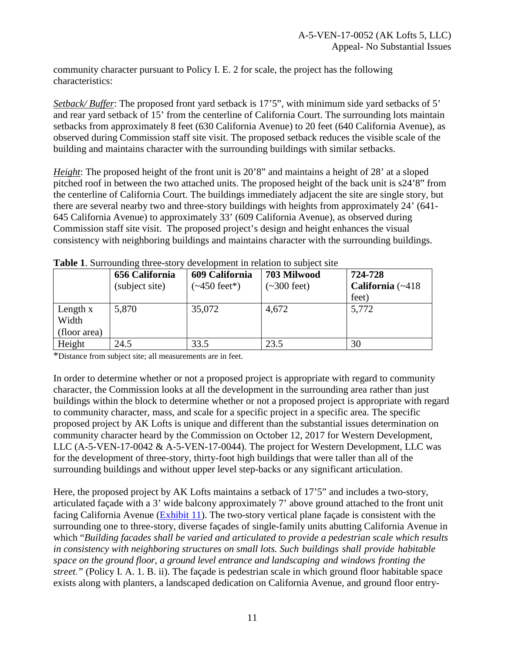community character pursuant to Policy I. E. 2 for scale, the project has the following characteristics:

*Setback/ Buffer*: The proposed front yard setback is 17'5", with minimum side yard setbacks of 5' and rear yard setback of 15' from the centerline of California Court. The surrounding lots maintain setbacks from approximately 8 feet (630 California Avenue) to 20 feet (640 California Avenue), as observed during Commission staff site visit. The proposed setback reduces the visible scale of the building and maintains character with the surrounding buildings with similar setbacks.

*Height*: The proposed height of the front unit is 20'8" and maintains a height of 28' at a sloped pitched roof in between the two attached units. The proposed height of the back unit is s24'8" from the centerline of California Court. The buildings immediately adjacent the site are single story, but there are several nearby two and three-story buildings with heights from approximately 24' (641- 645 California Avenue) to approximately 33' (609 California Avenue), as observed during Commission staff site visit. The proposed project's design and height enhances the visual consistency with neighboring buildings and maintains character with the surrounding buildings.

|                                   | 656 California<br>(subject site) | 609 California<br>$(-450 \text{ feet})$ | 703 Milwood<br>$\left(\sim\!\frac{300}{\pi}\right)$ | 724-728<br>California (~418 |
|-----------------------------------|----------------------------------|-----------------------------------------|-----------------------------------------------------|-----------------------------|
|                                   |                                  |                                         |                                                     | feet)                       |
| Length x<br>Width<br>(floor area) | 5,870                            | 35,072                                  | 4,672                                               | 5,772                       |
| Height                            | 24.5                             | 33.5                                    | 23.5                                                | 30                          |

**Table 1**. Surrounding three-story development in relation to subject site

\*Distance from subject site; all measurements are in feet.

In order to determine whether or not a proposed project is appropriate with regard to community character, the Commission looks at all the development in the surrounding area rather than just buildings within the block to determine whether or not a proposed project is appropriate with regard to community character, mass, and scale for a specific project in a specific area. The specific proposed project by AK Lofts is unique and different than the substantial issues determination on community character heard by the Commission on October 12, 2017 for Western Development, LLC (A-5-VEN-17-0042 & A-5-VEN-17-0044). The project for Western Development, LLC was for the development of three-story, thirty-foot high buildings that were taller than all of the surrounding buildings and without upper level step-backs or any significant articulation.

Here, the proposed project by AK Lofts maintains a setback of 17'5" and includes a two-story, articulated façade with a 3' wide balcony approximately 7' above ground attached to the front unit facing California Avenue [\(Exhibit 11\)](https://documents.coastal.ca.gov/reports/2017/11/Th25b/Th25b-11-2017-exhibits.pdf). The two-story vertical plane façade is consistent with the surrounding one to three-story, diverse façades of single-family units abutting California Avenue in which "*Building facades shall be varied and articulated to provide a pedestrian scale which results in consistency with neighboring structures on small lots. Such buildings shall provide habitable space on the ground floor, a ground level entrance and landscaping and windows fronting the street*.*"* (Policy I. A. 1. B. ii). The façade is pedestrian scale in which ground floor habitable space exists along with planters, a landscaped dedication on California Avenue, and ground floor entry-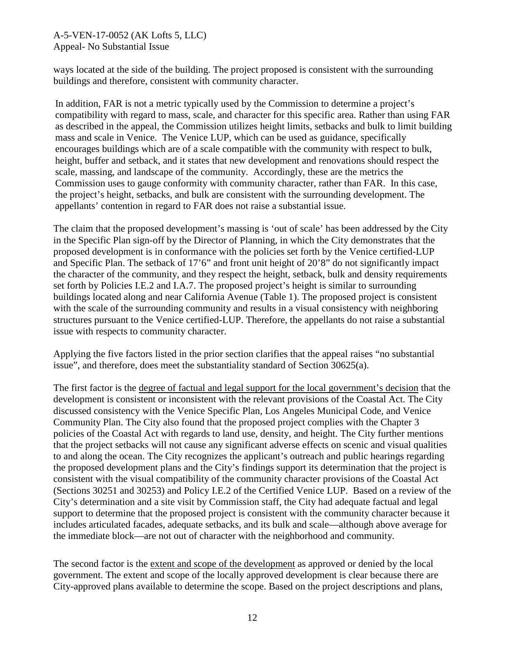#### A-5-VEN-17-0052 (AK Lofts 5, LLC) Appeal- No Substantial Issue

ways located at the side of the building. The project proposed is consistent with the surrounding buildings and therefore, consistent with community character.

In addition, FAR is not a metric typically used by the Commission to determine a project's compatibility with regard to mass, scale, and character for this specific area. Rather than using FAR as described in the appeal, the Commission utilizes height limits, setbacks and bulk to limit building mass and scale in Venice. The Venice LUP, which can be used as guidance, specifically encourages buildings which are of a scale compatible with the community with respect to bulk, height, buffer and setback, and it states that new development and renovations should respect the scale, massing, and landscape of the community. Accordingly, these are the metrics the Commission uses to gauge conformity with community character, rather than FAR. In this case, the project's height, setbacks, and bulk are consistent with the surrounding development. The appellants' contention in regard to FAR does not raise a substantial issue.

The claim that the proposed development's massing is 'out of scale' has been addressed by the City in the Specific Plan sign-off by the Director of Planning, in which the City demonstrates that the proposed development is in conformance with the policies set forth by the Venice certified-LUP and Specific Plan. The setback of 17'6" and front unit height of 20'8" do not significantly impact the character of the community, and they respect the height, setback, bulk and density requirements set forth by Policies I.E.2 and I.A.7. The proposed project's height is similar to surrounding buildings located along and near California Avenue (Table 1). The proposed project is consistent with the scale of the surrounding community and results in a visual consistency with neighboring structures pursuant to the Venice certified-LUP. Therefore, the appellants do not raise a substantial issue with respects to community character.

Applying the five factors listed in the prior section clarifies that the appeal raises "no substantial issue", and therefore, does meet the substantiality standard of Section 30625(a).

The first factor is the degree of factual and legal support for the local government's decision that the development is consistent or inconsistent with the relevant provisions of the Coastal Act. The City discussed consistency with the Venice Specific Plan, Los Angeles Municipal Code, and Venice Community Plan. The City also found that the proposed project complies with the Chapter 3 policies of the Coastal Act with regards to land use, density, and height. The City further mentions that the project setbacks will not cause any significant adverse effects on scenic and visual qualities to and along the ocean. The City recognizes the applicant's outreach and public hearings regarding the proposed development plans and the City's findings support its determination that the project is consistent with the visual compatibility of the community character provisions of the Coastal Act (Sections 30251 and 30253) and Policy I.E.2 of the Certified Venice LUP. Based on a review of the City's determination and a site visit by Commission staff, the City had adequate factual and legal support to determine that the proposed project is consistent with the community character because it includes articulated facades, adequate setbacks, and its bulk and scale—although above average for the immediate block—are not out of character with the neighborhood and community.

The second factor is the extent and scope of the development as approved or denied by the local government. The extent and scope of the locally approved development is clear because there are City-approved plans available to determine the scope. Based on the project descriptions and plans,